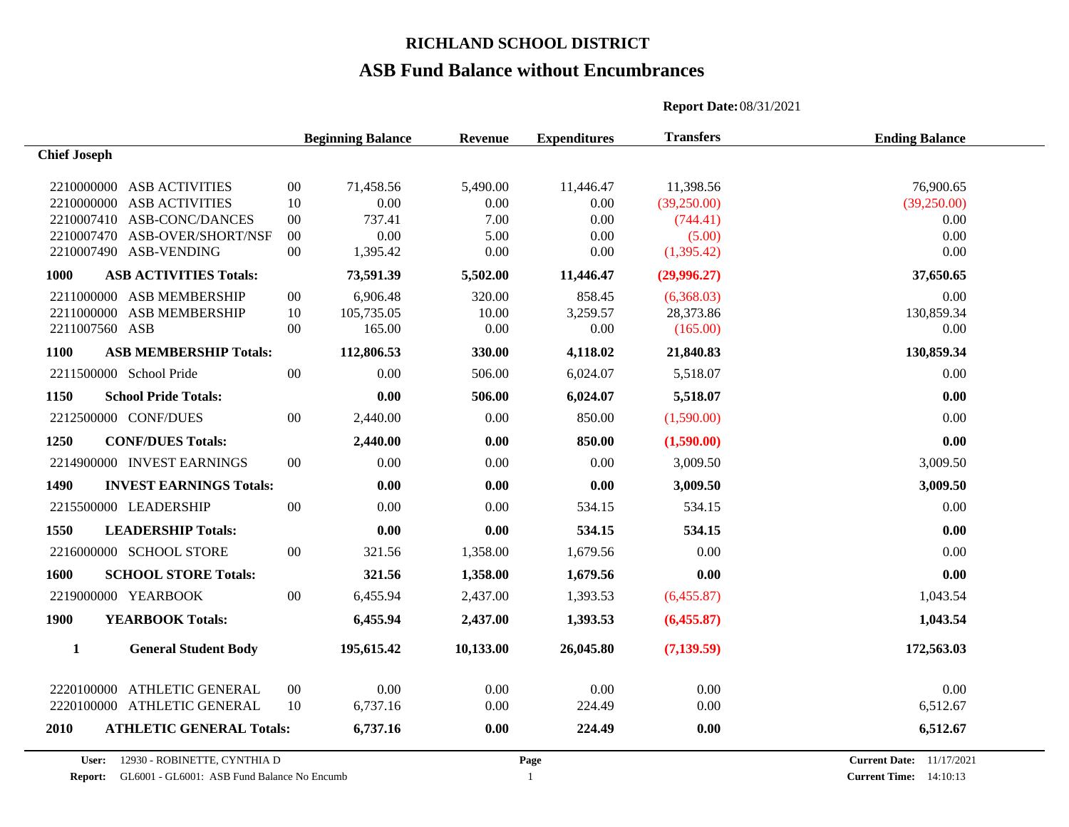# **ASB Fund Balance without Encumbrances**

|                                        |                                             | <b>Beginning Balance</b> | Revenue   | <b>Expenditures</b> | <b>Transfers</b>                | <b>Ending Balance</b>         |
|----------------------------------------|---------------------------------------------|--------------------------|-----------|---------------------|---------------------------------|-------------------------------|
| <b>Chief Joseph</b>                    |                                             |                          |           |                     |                                 |                               |
| 2210000000 ASB ACTIVITIES              | 00                                          | 71,458.56                | 5,490.00  | 11,446.47           | 11,398.56                       | 76,900.65                     |
| 2210000000 ASB ACTIVITIES              | 10                                          | 0.00                     | 0.00      | 0.00                | (39,250.00)                     | (39,250.00)                   |
| 2210007410 ASB-CONC/DANCES             | $00\,$                                      | 737.41                   | 7.00      | 0.00                | (744.41)                        | 0.00                          |
| 2210007470 ASB-OVER/SHORT/NSF          | $00\,$                                      | 0.00                     | 5.00      | 0.00                | (5.00)                          | 0.00                          |
| 2210007490 ASB-VENDING                 | $00\,$                                      | 1,395.42                 | 0.00      | 0.00                | (1,395.42)                      | 0.00                          |
| 1000<br><b>ASB ACTIVITIES Totals:</b>  |                                             | 73,591.39                | 5,502.00  | 11,446.47           | (29,996.27)                     | 37,650.65                     |
| 2211000000 ASB MEMBERSHIP              | $00\,$                                      | 6,906.48                 | 320.00    | 858.45              | (6.368.03)                      | 0.00                          |
| 2211000000 ASB MEMBERSHIP              | 10                                          | 105,735.05               | 10.00     | 3,259.57            | 28,373.86                       | 130,859.34                    |
| 2211007560 ASB                         | $00\,$                                      | 165.00                   | 0.00      | 0.00                | (165.00)                        | 0.00                          |
| <b>ASB MEMBERSHIP Totals:</b><br>1100  |                                             | 112,806.53               | 330.00    | 4,118.02            | 21,840.83                       | 130,859.34                    |
| 2211500000 School Pride                | $00\,$                                      | 0.00                     | 506.00    | 6,024.07            | 5,518.07                        | 0.00                          |
| 1150<br><b>School Pride Totals:</b>    |                                             | 0.00                     | 506.00    | 6,024.07            | 5,518.07                        | 0.00                          |
| 2212500000 CONF/DUES                   | $00\,$                                      | 2,440.00                 | 0.00      | 850.00              | (1,590.00)                      | 0.00                          |
| 1250<br><b>CONF/DUES Totals:</b>       |                                             | 2,440.00                 | 0.00      | 850.00              | (1,590.00)                      | 0.00                          |
| 2214900000 INVEST EARNINGS             | $00\,$                                      | 0.00                     | 0.00      | 0.00                | 3,009.50                        | 3,009.50                      |
| 1490<br><b>INVEST EARNINGS Totals:</b> |                                             | 0.00                     | 0.00      | 0.00                | 3,009.50                        | 3,009.50                      |
| 2215500000 LEADERSHIP                  | $00\,$                                      | 0.00                     | 0.00      | 534.15              | 534.15                          | 0.00                          |
| 1550<br><b>LEADERSHIP Totals:</b>      |                                             | 0.00                     | 0.00      | 534.15              | 534.15                          | 0.00                          |
| 2216000000 SCHOOL STORE                | $00\,$                                      | 321.56                   | 1,358.00  | 1,679.56            | 0.00                            | 0.00                          |
| <b>SCHOOL STORE Totals:</b><br>1600    |                                             | 321.56                   | 1,358.00  | 1,679.56            | 0.00                            | 0.00                          |
| 2219000000 YEARBOOK                    | $00\,$                                      | 6,455.94                 | 2,437.00  | 1,393.53            | (6,455.87)                      | 1,043.54                      |
| 1900<br><b>YEARBOOK Totals:</b>        |                                             | 6,455.94                 | 2,437.00  | 1,393.53            | (6,455.87)                      | 1,043.54                      |
| $\mathbf{1}$                           | <b>General Student Body</b>                 | 195,615.42               | 10,133.00 | 26,045.80           | (7, 139.59)                     | 172,563.03                    |
| 2220100000 ATHLETIC GENERAL            | $00\,$                                      | 0.00                     | 0.00      | 0.00                | 0.00                            | 0.00                          |
| 2220100000 ATHLETIC GENERAL            | 10                                          | 6,737.16                 | 0.00      | 224.49              | 0.00                            | 6,512.67                      |
| <b>2010</b>                            | <b>ATHLETIC GENERAL Totals:</b>             | 6,737.16                 | 0.00      | 224.49              | 0.00                            | 6,512.67                      |
| 12930 - ROBINETTE, CYNTHIA D<br>User:  |                                             |                          | Page      |                     | <b>Current Date:</b> 11/17/2021 |                               |
| <b>Report:</b>                         | GL6001 - GL6001: ASB Fund Balance No Encumb |                          |           | -1                  |                                 | <b>Current Time:</b> 14:10:13 |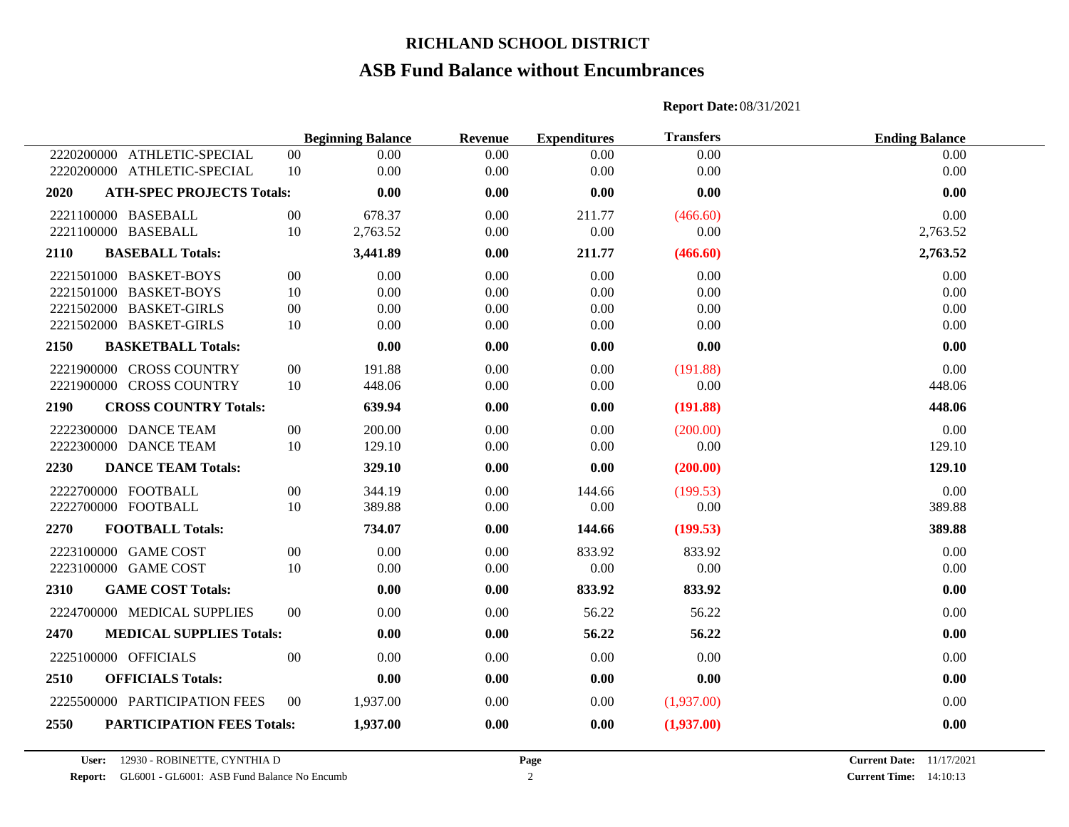## **ASB Fund Balance without Encumbrances**

|            |                                   |        | <b>Beginning Balance</b> | Revenue | <b>Expenditures</b> | <b>Transfers</b> | <b>Ending Balance</b> |
|------------|-----------------------------------|--------|--------------------------|---------|---------------------|------------------|-----------------------|
| 2220200000 | ATHLETIC-SPECIAL                  | $00\,$ | 0.00                     | 0.00    | 0.00                | 0.00             | 0.00                  |
|            | 2220200000 ATHLETIC-SPECIAL       | 10     | 0.00                     | 0.00    | 0.00                | 0.00             | 0.00                  |
| 2020       | <b>ATH-SPEC PROJECTS Totals:</b>  |        | 0.00                     | 0.00    | 0.00                | 0.00             | 0.00                  |
|            | 2221100000 BASEBALL               | $00\,$ | 678.37                   | 0.00    | 211.77              | (466.60)         | 0.00                  |
|            | 2221100000 BASEBALL               | 10     | 2,763.52                 | 0.00    | 0.00                | 0.00             | 2,763.52              |
| 2110       | <b>BASEBALL Totals:</b>           |        | 3,441.89                 | 0.00    | 211.77              | (466.60)         | 2,763.52              |
|            | 2221501000 BASKET-BOYS            | $00\,$ | 0.00                     | 0.00    | 0.00                | 0.00             | 0.00                  |
|            | 2221501000 BASKET-BOYS            | 10     | 0.00                     | 0.00    | 0.00                | 0.00             | 0.00                  |
|            | 2221502000 BASKET-GIRLS           | $00\,$ | 0.00                     | 0.00    | 0.00                | 0.00             | 0.00                  |
|            | 2221502000 BASKET-GIRLS           | 10     | 0.00                     | 0.00    | 0.00                | 0.00             | 0.00                  |
| 2150       | <b>BASKETBALL Totals:</b>         |        | 0.00                     | 0.00    | 0.00                | 0.00             | 0.00                  |
|            | 2221900000 CROSS COUNTRY          | $00\,$ | 191.88                   | 0.00    | 0.00                | (191.88)         | 0.00                  |
|            | 2221900000 CROSS COUNTRY          | 10     | 448.06                   | 0.00    | 0.00                | 0.00             | 448.06                |
| 2190       | <b>CROSS COUNTRY Totals:</b>      |        | 639.94                   | 0.00    | 0.00                | (191.88)         | 448.06                |
|            | 2222300000 DANCE TEAM             | $00\,$ | 200.00                   | 0.00    | 0.00                | (200.00)         | 0.00                  |
|            | 2222300000 DANCE TEAM             | 10     | 129.10                   | 0.00    | 0.00                | 0.00             | 129.10                |
| 2230       | <b>DANCE TEAM Totals:</b>         |        | 329.10                   | 0.00    | 0.00                | (200.00)         | 129.10                |
|            | 2222700000 FOOTBALL               | $00\,$ | 344.19                   | 0.00    | 144.66              | (199.53)         | 0.00                  |
|            | 2222700000 FOOTBALL               | 10     | 389.88                   | 0.00    | $0.00\,$            | 0.00             | 389.88                |
| 2270       | <b>FOOTBALL Totals:</b>           |        | 734.07                   | 0.00    | 144.66              | (199.53)         | 389.88                |
|            | 2223100000 GAME COST              | $00\,$ | 0.00                     | 0.00    | 833.92              | 833.92           | 0.00                  |
|            | 2223100000 GAME COST              | 10     | 0.00                     | 0.00    | 0.00                | 0.00             | 0.00                  |
| 2310       | <b>GAME COST Totals:</b>          |        | 0.00                     | 0.00    | 833.92              | 833.92           | 0.00                  |
|            | 2224700000 MEDICAL SUPPLIES       | $00\,$ | 0.00                     | 0.00    | 56.22               | 56.22            | 0.00                  |
| 2470       | <b>MEDICAL SUPPLIES Totals:</b>   |        | 0.00                     | 0.00    | 56.22               | 56.22            | 0.00                  |
|            | 2225100000 OFFICIALS              | 00     | 0.00                     | 0.00    | 0.00                | 0.00             | 0.00                  |
| 2510       | <b>OFFICIALS Totals:</b>          |        | 0.00                     | 0.00    | 0.00                | 0.00             | 0.00                  |
|            | 2225500000 PARTICIPATION FEES     | 00     | 1,937.00                 | 0.00    | 0.00                | (1,937.00)       | 0.00                  |
| 2550       | <b>PARTICIPATION FEES Totals:</b> |        | 1,937.00                 | 0.00    | 0.00                | (1,937.00)       | 0.00                  |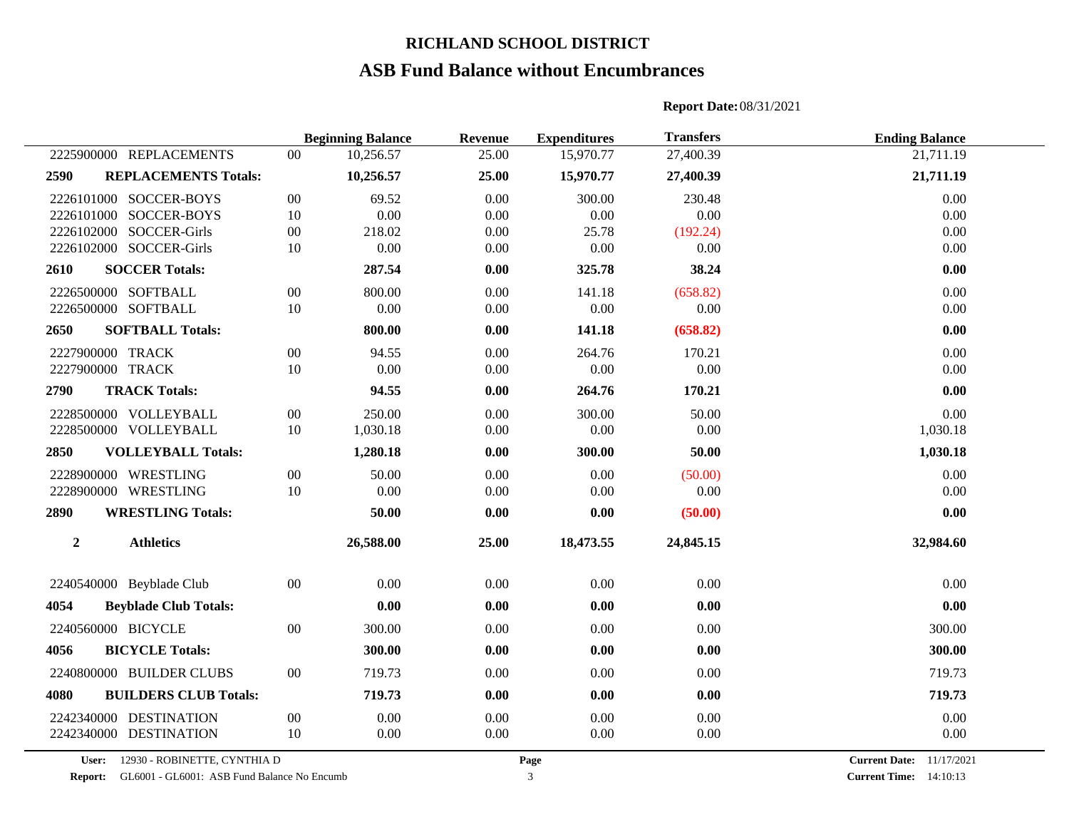### **ASB Fund Balance without Encumbrances**

## **Beginning Balance Revenue Expenditures Transfers Ending Balance** REPLACEMENTS 00 10,256.57 25.00 15,970.77 27,400.39 21,711.19 **REPLACEMENTS Totals: 10,256.57 25.00 15,970.77 27,400.39 21,711.19** SOCCER-BOYS 00 69.52 0.00 300.00 230.48 0.00 SOCCER-BOYS 10 0.00 0.00 0.00 0.00 0.00 SOCCER-Girls 00 218.02 0.00 25.78 (192.24) 0.00 SOCCER-Girls 10 0.00 0.00 0.00 0.00 0.00 **SOCCER Totals: 287.54 0.00 325.78 38.24 0.00** 2226500000 SOFTBALL 00 800.00 0.00 141.18 (658.82) 0.00 0.00 0.00 SOFTBALL 10 0.00 0.00 0.00 0.00 0.00 **SOFTBALL Totals: 800.00 0.00 141.18 (658.82) 0.00** 2227900000 TRACK 00 94.55 0.00 264.76 170.21 0.00 0.00 TRACK 10 0.00 0.00 0.00 0.00 0.00 **TRACK Totals: 94.55 0.00 264.76 170.21 0.00** 2228500000 VOLLEYBALL 00 250.00 0.00 300.00 50.00 0.00 0.00 0.00 VOLLEYBALL 10 1,030.18 0.00 0.00 0.00 1,030.18 **VOLLEYBALL Totals: 1,280.18 0.00 300.00 50.00 1,030.18** WRESTLING 00 50.00 0.00 0.00 (50.00) 0.00 WRESTLING 10 0.00 0.00 0.00 0.00 0.00 **WRESTLING Totals: 50.00 0.00 0.00 (50.00) 0.00 Athletics 26,588.00 25.00 18,473.55 24,845.15 32,984.60** Beyblade Club 00 0.00 0.00 0.00 0.00 0.00 **Beyblade Club Totals: 0.00 0.00 0.00 0.00 0.00** 2240560000 BICYCLE 00 300.00 0.00 0.00 0.00 0.00 300.00 300.00 **BICYCLE Totals: 300.00 0.00 0.00 0.00 300.00** 2240800000 BUILDER CLUBS 00 719.73 0.00 0.00 0.00 0.00 719.73 **BUILDERS CLUB Totals: 719.73 0.00 0.00 0.00 719.73** DESTINATION 00 0.00 0.00 0.00 0.00 0.00 DESTINATION 10 0.00 0.00 0.00 0.00 0.00

**Report Date:**08/31/2021

**User:** 12930 - ROBINETTE, CYNTHIA D

**Report:** GL6001 - GL6001: ASB Fund Balance No Encumb 3 3

**Current Date:** 11/17/2021 **Current Time:** 14:10:13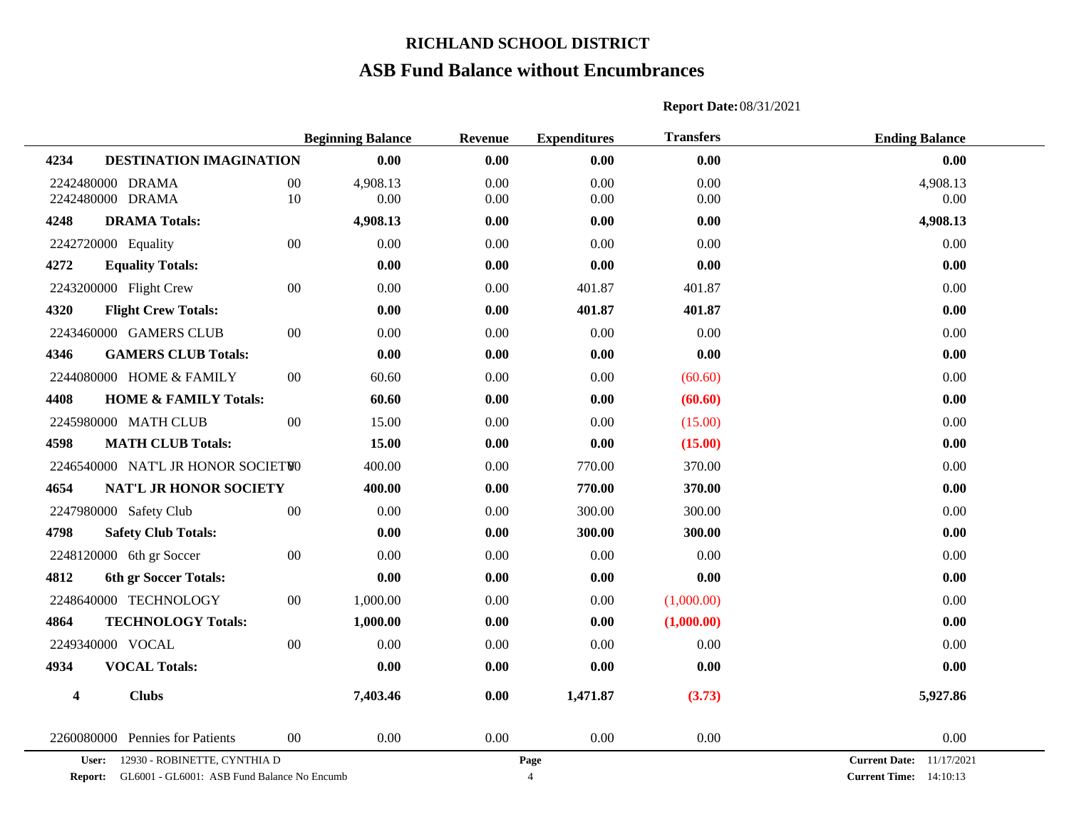# **ASB Fund Balance without Encumbrances**

|                                                                                                        |        | <b>Beginning Balance</b> | <b>Revenue</b>         | <b>Expenditures</b> | <b>Transfers</b>                                                    | <b>Ending Balance</b> |
|--------------------------------------------------------------------------------------------------------|--------|--------------------------|------------------------|---------------------|---------------------------------------------------------------------|-----------------------|
| 4234<br>DESTINATION IMAGINATION                                                                        |        | 0.00                     | 0.00                   | 0.00                | 0.00                                                                | 0.00                  |
| 2242480000 DRAMA                                                                                       | 00     | 4,908.13                 | 0.00                   | 0.00                | 0.00                                                                | 4,908.13              |
| 2242480000 DRAMA                                                                                       | $10\,$ | 0.00                     | $0.00\,$               | 0.00                | 0.00                                                                | 0.00                  |
| 4248<br><b>DRAMA Totals:</b>                                                                           |        | 4,908.13                 | 0.00                   | 0.00                | 0.00                                                                | 4,908.13              |
| 2242720000 Equality                                                                                    | $00\,$ | 0.00                     | 0.00                   | 0.00                | 0.00                                                                | 0.00                  |
| 4272<br><b>Equality Totals:</b>                                                                        |        | 0.00                     | 0.00                   | 0.00                | 0.00                                                                | 0.00                  |
| 2243200000 Flight Crew                                                                                 | $00\,$ | 0.00                     | 0.00                   | 401.87              | 401.87                                                              | 0.00                  |
| 4320<br><b>Flight Crew Totals:</b>                                                                     |        | 0.00                     | 0.00                   | 401.87              | 401.87                                                              | 0.00                  |
| 2243460000 GAMERS CLUB                                                                                 | $00\,$ | 0.00                     | 0.00                   | 0.00                | 0.00                                                                | 0.00                  |
| 4346<br><b>GAMERS CLUB Totals:</b>                                                                     |        | 0.00                     | 0.00                   | 0.00                | 0.00                                                                | 0.00                  |
| 2244080000 HOME & FAMILY                                                                               | $00\,$ | 60.60                    | 0.00                   | 0.00                | (60.60)                                                             | 0.00                  |
| 4408<br><b>HOME &amp; FAMILY Totals:</b>                                                               |        | 60.60                    | 0.00                   | 0.00                | (60.60)                                                             | 0.00                  |
| 2245980000 MATH CLUB                                                                                   | $00\,$ | 15.00                    | 0.00                   | 0.00                | (15.00)                                                             | 0.00                  |
| <b>MATH CLUB Totals:</b><br>4598                                                                       |        | 15.00                    | 0.00                   | 0.00                | (15.00)                                                             | 0.00                  |
| 2246540000 NAT'L JR HONOR SOCIETWO                                                                     |        | 400.00                   | 0.00                   | 770.00              | 370.00                                                              | 0.00                  |
| 4654<br>NAT'L JR HONOR SOCIETY                                                                         |        | 400.00                   | 0.00                   | 770.00              | 370.00                                                              | 0.00                  |
| 2247980000 Safety Club                                                                                 | $00\,$ | 0.00                     | 0.00                   | 300.00              | 300.00                                                              | 0.00                  |
| 4798<br><b>Safety Club Totals:</b>                                                                     |        | 0.00                     | 0.00                   | 300.00              | 300.00                                                              | 0.00                  |
| 2248120000 6th gr Soccer                                                                               | $00\,$ | 0.00                     | 0.00                   | 0.00                | 0.00                                                                | 0.00                  |
| 4812<br>6th gr Soccer Totals:                                                                          |        | 0.00                     | 0.00                   | 0.00                | 0.00                                                                | 0.00                  |
| 2248640000 TECHNOLOGY                                                                                  | $00\,$ | 1,000.00                 | 0.00                   | 0.00                | (1,000.00)                                                          | 0.00                  |
| 4864<br><b>TECHNOLOGY Totals:</b>                                                                      |        | 1,000.00                 | 0.00                   | 0.00                | (1,000.00)                                                          | 0.00                  |
| 2249340000 VOCAL                                                                                       | 00     | 0.00                     | 0.00                   | 0.00                | 0.00                                                                | 0.00                  |
| 4934<br><b>VOCAL Totals:</b>                                                                           |        | 0.00                     | 0.00                   | 0.00                | 0.00                                                                | 0.00                  |
| <b>Clubs</b>                                                                                           |        |                          | 0.00                   |                     |                                                                     |                       |
| $\overline{\mathbf{4}}$                                                                                |        | 7,403.46                 |                        | 1,471.87            | (3.73)                                                              | 5,927.86              |
| 2260080000 Pennies for Patients                                                                        | $00\,$ | 0.00                     | 0.00                   | 0.00                | 0.00                                                                | 0.00                  |
| User:<br>12930 - ROBINETTE, CYNTHIA D<br><b>Report:</b><br>GL6001 - GL6001: ASB Fund Balance No Encumb |        |                          | Page<br>$\overline{4}$ |                     | <b>Current Date:</b><br>11/17/2021<br><b>Current Time:</b> 14:10:13 |                       |